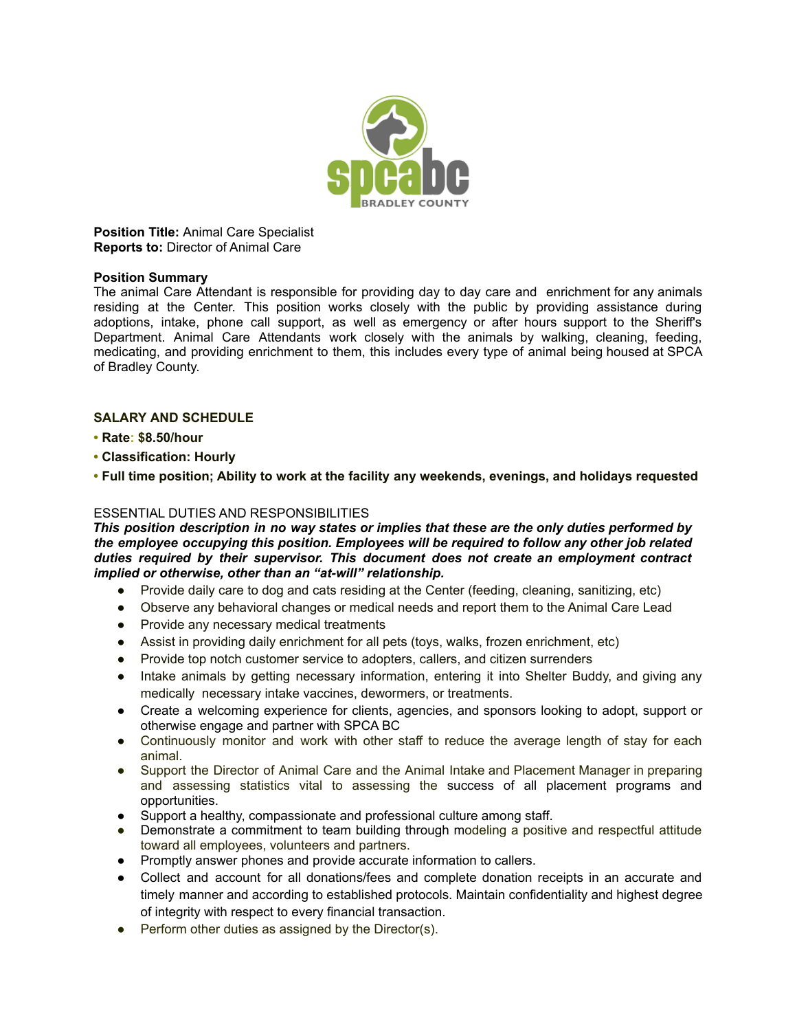

**Position Title:** Animal Care Specialist **Reports to:** Director of Animal Care

#### **Position Summary**

The animal Care Attendant is responsible for providing day to day care and enrichment for any animals residing at the Center. This position works closely with the public by providing assistance during adoptions, intake, phone call support, as well as emergency or after hours support to the Sheriff's Department. Animal Care Attendants work closely with the animals by walking, cleaning, feeding, medicating, and providing enrichment to them, this includes every type of animal being housed at SPCA of Bradley County.

# **SALARY AND SCHEDULE**

- **• Rate: \$8.50/hour**
- **• Classification: Hourly**
- **• Full time position; Ability to work at the facility any weekends, evenings, and holidays requested**

### ESSENTIAL DUTIES AND RESPONSIBILITIES

*This position description in no way states or implies that these are the only duties performed by the employee occupying this position. Employees will be required to follow any other job related duties required by their supervisor. This document does not create an employment contract implied or otherwise, other than an "at-will" relationship.*

- Provide daily care to dog and cats residing at the Center (feeding, cleaning, sanitizing, etc)
- Observe any behavioral changes or medical needs and report them to the Animal Care Lead
- Provide any necessary medical treatments
- Assist in providing daily enrichment for all pets (toys, walks, frozen enrichment, etc)
- Provide top notch customer service to adopters, callers, and citizen surrenders
- Intake animals by getting necessary information, entering it into Shelter Buddy, and giving any medically necessary intake vaccines, dewormers, or treatments.
- Create a welcoming experience for clients, agencies, and sponsors looking to adopt, support or otherwise engage and partner with SPCA BC
- Continuously monitor and work with other staff to reduce the average length of stay for each animal.
- Support the Director of Animal Care and the Animal Intake and Placement Manager in preparing and assessing statistics vital to assessing the success of all placement programs and opportunities.
- Support a healthy, compassionate and professional culture among staff.
- Demonstrate a commitment to team building through modeling a positive and respectful attitude toward all employees, volunteers and partners.
- Promptly answer phones and provide accurate information to callers.
- Collect and account for all donations/fees and complete donation receipts in an accurate and timely manner and according to established protocols. Maintain confidentiality and highest degree of integrity with respect to every financial transaction.
- Perform other duties as assigned by the Director(s).